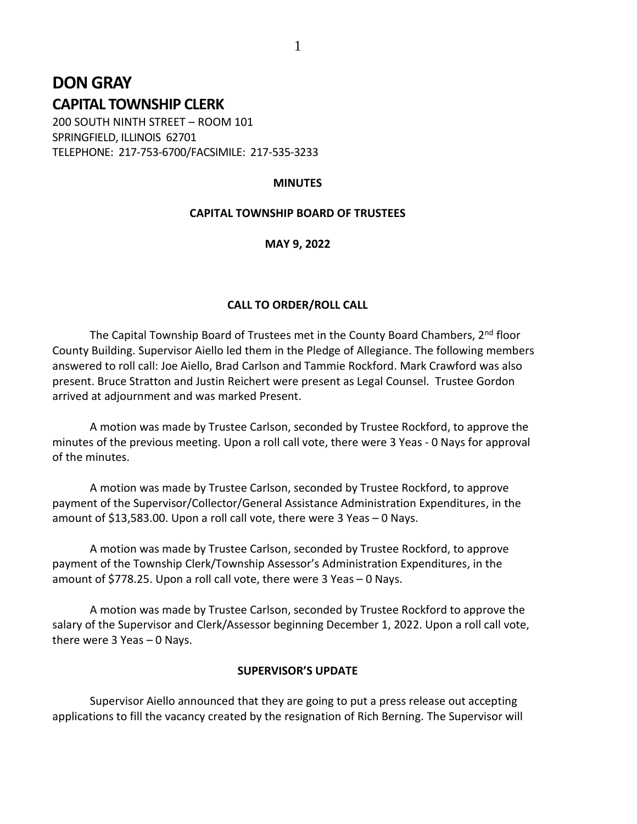# **DON GRAY CAPITAL TOWNSHIP CLERK**

200 SOUTH NINTH STREET – ROOM 101 SPRINGFIELD, ILLINOIS 62701 TELEPHONE: 217-753-6700/FACSIMILE: 217-535-3233

## **MINUTES**

## **CAPITAL TOWNSHIP BOARD OF TRUSTEES**

#### **MAY 9, 2022**

#### **CALL TO ORDER/ROLL CALL**

The Capital Township Board of Trustees met in the County Board Chambers,  $2^{nd}$  floor County Building. Supervisor Aiello led them in the Pledge of Allegiance. The following members answered to roll call: Joe Aiello, Brad Carlson and Tammie Rockford. Mark Crawford was also present. Bruce Stratton and Justin Reichert were present as Legal Counsel. Trustee Gordon arrived at adjournment and was marked Present.

A motion was made by Trustee Carlson, seconded by Trustee Rockford, to approve the minutes of the previous meeting. Upon a roll call vote, there were 3 Yeas - 0 Nays for approval of the minutes.

A motion was made by Trustee Carlson, seconded by Trustee Rockford, to approve payment of the Supervisor/Collector/General Assistance Administration Expenditures, in the amount of \$13,583.00. Upon a roll call vote, there were 3 Yeas – 0 Nays.

A motion was made by Trustee Carlson, seconded by Trustee Rockford, to approve payment of the Township Clerk/Township Assessor's Administration Expenditures, in the amount of \$778.25. Upon a roll call vote, there were 3 Yeas – 0 Nays.

A motion was made by Trustee Carlson, seconded by Trustee Rockford to approve the salary of the Supervisor and Clerk/Assessor beginning December 1, 2022. Upon a roll call vote, there were 3 Yeas – 0 Nays.

#### **SUPERVISOR'S UPDATE**

Supervisor Aiello announced that they are going to put a press release out accepting applications to fill the vacancy created by the resignation of Rich Berning. The Supervisor will